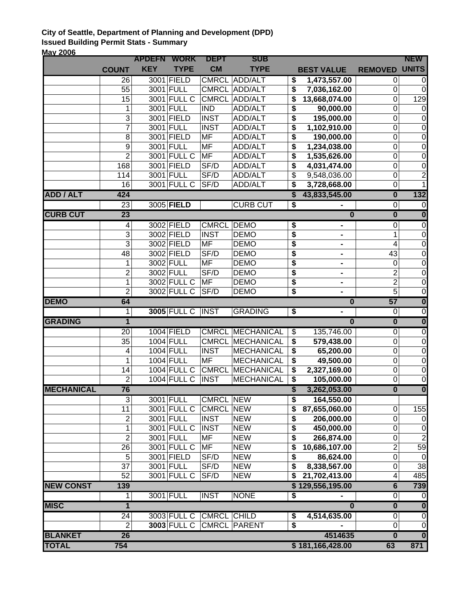## **City of Seattle, Department of Planning and Development (DPD) Issued Building Permit Stats - Summary May 2006**

| <u>VIAY LUVU</u>  |                      | <b>APDEFN WORK</b> |                          | <b>DEPT</b>             | <b>SUB</b>                            |                                      |                         |                                           | <b>NEW</b>                                |
|-------------------|----------------------|--------------------|--------------------------|-------------------------|---------------------------------------|--------------------------------------|-------------------------|-------------------------------------------|-------------------------------------------|
|                   | <b>COUNT</b>         | <b>KEY</b>         | <b>TYPE</b>              | <b>CM</b>               | <b>TYPE</b>                           |                                      | <b>BEST VALUE</b>       | <b>REMOVED</b>                            | <b>UNITS</b>                              |
|                   | $\overline{26}$      |                    | 3001 FIELD               | <b>CMRCL</b>            | <b>ADD/ALT</b>                        | \$                                   | 1,473,557.00            | 0                                         | 0                                         |
|                   | 55                   |                    | 3001 FULL                | <b>CMRCL</b>            | ADD/ALT                               | \$                                   | 7,036,162.00            | $\mathbf 0$                               | $\boldsymbol{0}$                          |
|                   | 15                   |                    | 3001 FULL C              | <b>CMRCL</b>            | ADD/ALT                               | \$                                   | 13,668,074.00           | $\mathbf 0$                               | 129                                       |
|                   | 1                    |                    | 3001 FULL                | $\overline{IND}$        | <b>ADD/ALT</b>                        | \$                                   | 90,000.00               | $\mathbf 0$                               | $\boldsymbol{0}$                          |
|                   | $\overline{3}$       |                    | 3001 FIELD               | <b>INST</b>             | ADD/ALT                               | \$                                   | 195,000.00              | $\mathbf 0$                               | $\boldsymbol{0}$                          |
|                   | $\overline{7}$       |                    | 3001 FULL                | <b>INST</b>             | <b>ADD/ALT</b>                        | \$                                   | 1,102,910.00            | $\mathbf 0$                               | $\boldsymbol{0}$                          |
|                   | 8                    |                    | 3001 FIELD               | <b>MF</b>               | <b>ADD/ALT</b>                        | \$                                   | 190,000.00              | $\mathbf 0$                               | $\mathbf 0$                               |
|                   | $\boldsymbol{9}$     |                    | 3001 FULL                | MF                      | <b>ADD/ALT</b>                        | \$                                   | 1,234,038.00            | $\mathbf 0$                               | $\mathbf 0$                               |
|                   | $\overline{2}$       |                    | 3001 FULL C              | MF                      | <b>ADD/ALT</b>                        | \$                                   | 1,535,626.00            | $\mathbf 0$                               | $\mathbf 0$                               |
|                   | 168                  |                    | 3001 FIELD               | SF/D                    | ADD/ALT                               | \$                                   | 4,031,474.00            | $\mathbf 0$                               | $\pmb{0}$                                 |
|                   | 114                  |                    | 3001 FULL                | SF/D                    | ADD/ALT                               | \$                                   | 9,548,036.00            | $\mathbf 0$                               | $\overline{2}$                            |
|                   | 16                   |                    | 3001 FULL C              | SF/D                    | ADD/ALT                               | \$                                   | 3,728,668.00            | $\mathbf 0$                               | $\mathbf{1}$                              |
| <b>ADD / ALT</b>  | 424                  |                    |                          |                         |                                       | $\overline{\mathbf{s}}$              | 43,833,545.00           | $\overline{\mathbf{0}}$                   | 132                                       |
|                   | 23                   |                    | 3005 FIELD               |                         | <b>CURB CUT</b>                       | $\overline{\boldsymbol{\mathsf{s}}}$ |                         | $\overline{0}$                            | $\overline{0}$                            |
| <b>CURB CUT</b>   | 23                   |                    |                          |                         |                                       |                                      | $\overline{\mathbf{0}}$ | $\overline{\mathbf{0}}$                   | $\overline{\mathbf{0}}$                   |
|                   | 4                    |                    | 3002 FIELD               | <b>CMRCL</b>            | <b>DEMO</b>                           | \$                                   | ۰                       | $\overline{0}$                            | $\overline{0}$                            |
|                   | $\overline{3}$       |                    | 3002 FIELD               | <b>INST</b>             | <b>DEMO</b>                           | \$                                   |                         | $\mathbf 1$                               | $\boldsymbol{0}$                          |
|                   | $\overline{3}$       |                    | 3002 FIELD               | <b>MF</b>               | <b>DEMO</b>                           | \$                                   | $\blacksquare$          | $\overline{\mathbf{4}}$                   | $\pmb{0}$                                 |
|                   | 48                   |                    | 3002 FIELD               | SF/D                    | <b>DEMO</b>                           | \$                                   | ٠                       | 43                                        | $\overline{0}$                            |
|                   | 1                    |                    | 3002 FULL                | <b>MF</b>               | <b>DEMO</b>                           | \$                                   |                         | $\mathbf 0$                               | $\pmb{0}$                                 |
|                   | $\mathbf 2$          |                    | 3002 FULL                | SF/D                    | <b>DEMO</b>                           | \$                                   | $\blacksquare$          | $\overline{2}$                            | $\mathbf 0$                               |
|                   | 1                    |                    | 3002 FULL C              | <b>MF</b>               | <b>DEMO</b>                           | \$                                   | $\blacksquare$          | $\overline{2}$                            | $\boldsymbol{0}$                          |
|                   | $\overline{2}$       |                    | 3002 FULL C              | SF/D                    | <b>DEMO</b>                           | \$                                   | $\blacksquare$          | $\overline{5}$<br>57                      | $\boldsymbol{0}$                          |
| <b>DEMO</b>       | 64                   |                    | <b>3005 FULL C</b>       |                         | <b>GRADING</b>                        |                                      | $\overline{\mathbf{0}}$ |                                           | $\overline{\mathbf{0}}$<br>$\overline{0}$ |
| <b>GRADING</b>    | 1<br>$\overline{1}$  |                    |                          | <b>INST</b>             |                                       | \$                                   | $\overline{\mathbf{0}}$ | $\overline{0}$<br>$\overline{\mathbf{0}}$ | $\overline{\mathbf{0}}$                   |
|                   |                      |                    |                          |                         |                                       |                                      |                         |                                           |                                           |
|                   | 20<br>35             |                    | 1004 FIELD<br>1004 FULL  | <b>CMRCL</b>            | <b>CMRCL MECHANICAL</b><br>MECHANICAL | \$<br>\$                             | 135,746.00              | $\pmb{0}$<br>$\mathbf 0$                  | $\pmb{0}$                                 |
|                   | 4                    |                    | 1004 FULL                | <b>INST</b>             | <b>MECHANICAL</b>                     | \$                                   | 579,438.00<br>65,200.00 | $\boldsymbol{0}$                          | $\pmb{0}$<br>$\pmb{0}$                    |
|                   | 1                    |                    | 1004 FULL                | <b>MF</b>               | <b>MECHANICAL</b>                     | \$                                   | 49,500.00               | $\boldsymbol{0}$                          | $\mathbf 0$                               |
|                   | 14                   |                    | 1004 FULL C              | <b>CMRCL</b>            | MECHANICAL                            | \$                                   | 2,327,169.00            | $\mathbf 0$                               | $\boldsymbol{0}$                          |
|                   | $\overline{2}$       |                    | $1004$ FULL C            | <b>INST</b>             | <b>MECHANICAL</b>                     | $\overline{\boldsymbol{\mathsf{s}}}$ | 105,000.00              | $\mathbf 0$                               | $\boldsymbol{0}$                          |
| <b>MECHANICAL</b> | 76                   |                    |                          |                         |                                       | \$                                   | 3,262,053.00            | $\overline{\mathbf{0}}$                   | $\overline{\mathbf{0}}$                   |
|                   | $\overline{3}$       |                    | 3001 FULL                | <b>CMRCL NEW</b>        |                                       | $\overline{\boldsymbol{\mathsf{s}}}$ | 164,550.00              |                                           |                                           |
|                   | 11                   |                    | 3001 FULL C              | <b>CMRCL</b>            | <b>NEW</b>                            | \$                                   | 87,655,060.00           | $\mathbf 0$                               | 155                                       |
|                   | 2                    |                    | 3001 FULL                | <b>INST</b>             | <b>NEW</b>                            | \$                                   | 206,000.00              | $\mathbf 0$                               | $\pmb{0}$                                 |
|                   | 1                    |                    | 3001 FULL C              | <b>INST</b>             | <b>NEW</b>                            | \$                                   | 450,000.00              | $\mathbf 0$                               | $\boldsymbol{0}$                          |
|                   | $\overline{2}$       |                    | 3001 FULL                | MF                      | <b>NEW</b>                            | \$                                   | 266,874.00              | $\mathbf 0$                               | $\boldsymbol{2}$                          |
|                   | 26                   |                    | 3001 FULL $\overline{C}$ | MF                      | <b>NEW</b>                            | \$                                   | 10,686,107.00           | $\overline{2}$                            | 59                                        |
|                   | 5                    |                    | 3001 FIELD               | SF/D                    | <b>NEW</b>                            | \$                                   | 86,624.00               | $\boldsymbol{0}$                          | $\pmb{0}$                                 |
|                   | 37                   |                    | 3001 FULL                | SF/D                    | <b>NEW</b>                            | \$                                   | 8,338,567.00            | $\mathbf 0$                               | 38                                        |
|                   | 52                   |                    | 3001 FULL C              | SF/D                    | <b>NEW</b>                            | \$                                   | 21,702,413.00           | 4                                         | 485                                       |
| <b>NEW CONST</b>  | 139                  |                    |                          |                         |                                       |                                      | \$129,556,195.00        | $6\phantom{a}$                            | 739                                       |
|                   | 1                    |                    | 3001 FULL                | <b>INST</b>             | <b>NONE</b>                           | \$                                   |                         | $\overline{0}$                            | 0                                         |
|                   |                      |                    |                          |                         |                                       |                                      | $\bf{0}$                | $\overline{\mathbf{0}}$                   | $\overline{\mathbf{0}}$                   |
| <b>MISC</b>       | $\overline{1}$       |                    |                          |                         |                                       |                                      |                         |                                           |                                           |
|                   |                      |                    |                          |                         |                                       |                                      |                         |                                           | $\overline{0}$                            |
|                   | 24<br>$\overline{2}$ |                    | <b>3003 FULL C</b>       | 3003 FULL C CMRCL CHILD | <b>CMRCL PARENT</b>                   | \$<br>\$                             | 4,514,635.00            | 0<br>$\mathbf 0$                          | $\boldsymbol{0}$                          |
| <b>BLANKET</b>    | 26                   |                    |                          |                         |                                       |                                      | 4514635                 | $\bf{0}$                                  | $\overline{\mathbf{0}}$                   |